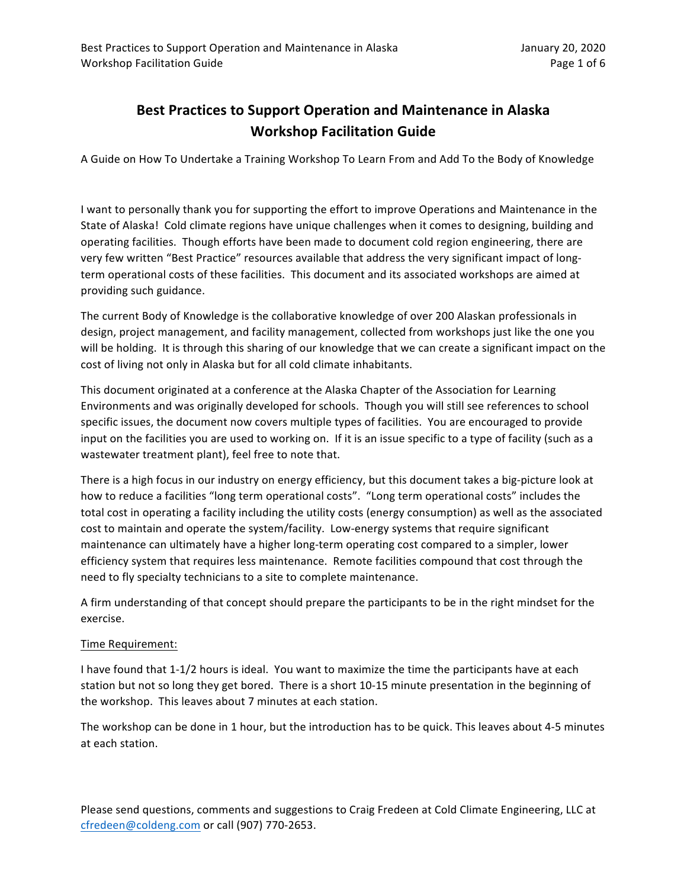## **Best Practices to Support Operation and Maintenance in Alaska Workshop Facilitation Guide**

A Guide on How To Undertake a Training Workshop To Learn From and Add To the Body of Knowledge

I want to personally thank you for supporting the effort to improve Operations and Maintenance in the State of Alaska! Cold climate regions have unique challenges when it comes to designing, building and operating facilities. Though efforts have been made to document cold region engineering, there are very few written "Best Practice" resources available that address the very significant impact of longterm operational costs of these facilities. This document and its associated workshops are aimed at providing such guidance.

The current Body of Knowledge is the collaborative knowledge of over 200 Alaskan professionals in design, project management, and facility management, collected from workshops just like the one you will be holding. It is through this sharing of our knowledge that we can create a significant impact on the cost of living not only in Alaska but for all cold climate inhabitants.

This document originated at a conference at the Alaska Chapter of the Association for Learning Environments and was originally developed for schools. Though you will still see references to school specific issues, the document now covers multiple types of facilities. You are encouraged to provide input on the facilities you are used to working on. If it is an issue specific to a type of facility (such as a wastewater treatment plant), feel free to note that.

There is a high focus in our industry on energy efficiency, but this document takes a big-picture look at how to reduce a facilities "long term operational costs". "Long term operational costs" includes the total cost in operating a facility including the utility costs (energy consumption) as well as the associated cost to maintain and operate the system/facility. Low-energy systems that require significant maintenance can ultimately have a higher long-term operating cost compared to a simpler, lower efficiency system that requires less maintenance. Remote facilities compound that cost through the need to fly specialty technicians to a site to complete maintenance.

A firm understanding of that concept should prepare the participants to be in the right mindset for the exercise.

## Time Requirement:

I have found that 1-1/2 hours is ideal. You want to maximize the time the participants have at each station but not so long they get bored. There is a short 10-15 minute presentation in the beginning of the workshop. This leaves about 7 minutes at each station.

The workshop can be done in 1 hour, but the introduction has to be quick. This leaves about 4-5 minutes at each station.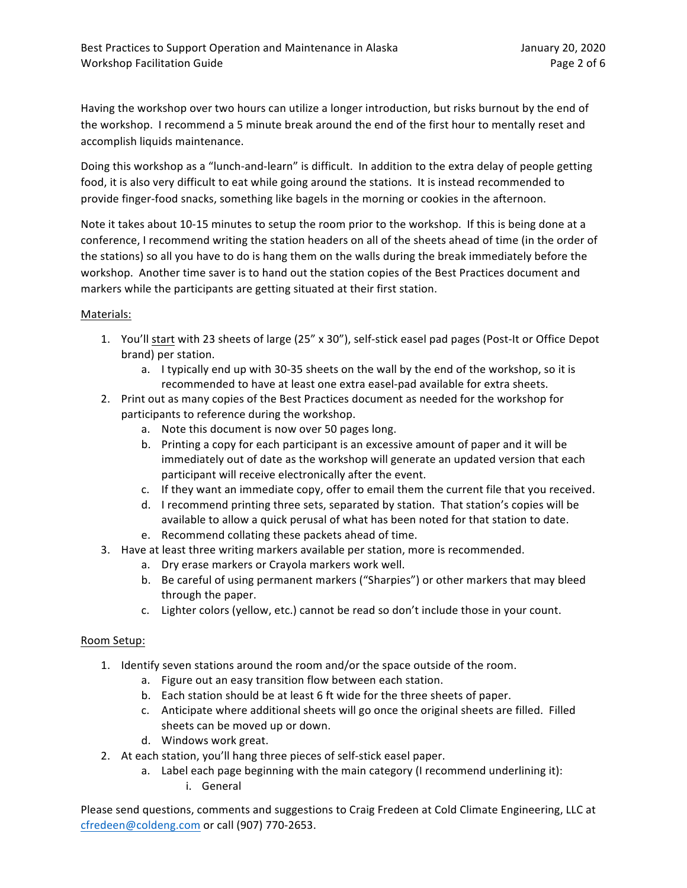Having the workshop over two hours can utilize a longer introduction, but risks burnout by the end of the workshop. I recommend a 5 minute break around the end of the first hour to mentally reset and accomplish liquids maintenance.

Doing this workshop as a "lunch-and-learn" is difficult. In addition to the extra delay of people getting food, it is also very difficult to eat while going around the stations. It is instead recommended to provide finger-food snacks, something like bagels in the morning or cookies in the afternoon.

Note it takes about 10-15 minutes to setup the room prior to the workshop. If this is being done at a conference, I recommend writing the station headers on all of the sheets ahead of time (in the order of the stations) so all you have to do is hang them on the walls during the break immediately before the workshop. Another time saver is to hand out the station copies of the Best Practices document and markers while the participants are getting situated at their first station.

## Materials:

- 1. You'll start with 23 sheets of large (25" x 30"), self-stick easel pad pages (Post-It or Office Depot brand) per station.
	- a. I typically end up with 30-35 sheets on the wall by the end of the workshop, so it is recommended to have at least one extra easel-pad available for extra sheets.
- 2. Print out as many copies of the Best Practices document as needed for the workshop for participants to reference during the workshop.
	- a. Note this document is now over 50 pages long.
	- b. Printing a copy for each participant is an excessive amount of paper and it will be immediately out of date as the workshop will generate an updated version that each participant will receive electronically after the event.
	- c. If they want an immediate copy, offer to email them the current file that you received.
	- d. I recommend printing three sets, separated by station. That station's copies will be available to allow a quick perusal of what has been noted for that station to date.
	- e. Recommend collating these packets ahead of time.
- 3. Have at least three writing markers available per station, more is recommended.
	- a. Dry erase markers or Crayola markers work well.
	- b. Be careful of using permanent markers ("Sharpies") or other markers that may bleed through the paper.
	- c. Lighter colors (yellow, etc.) cannot be read so don't include those in your count.

## Room Setup:

- 1. Identify seven stations around the room and/or the space outside of the room.
	- a. Figure out an easy transition flow between each station.
	- b. Each station should be at least 6 ft wide for the three sheets of paper.
	- c. Anticipate where additional sheets will go once the original sheets are filled. Filled sheets can be moved up or down.
	- d. Windows work great.
- 2. At each station, you'll hang three pieces of self-stick easel paper.
	- a. Label each page beginning with the main category (I recommend underlining it):
		- i. General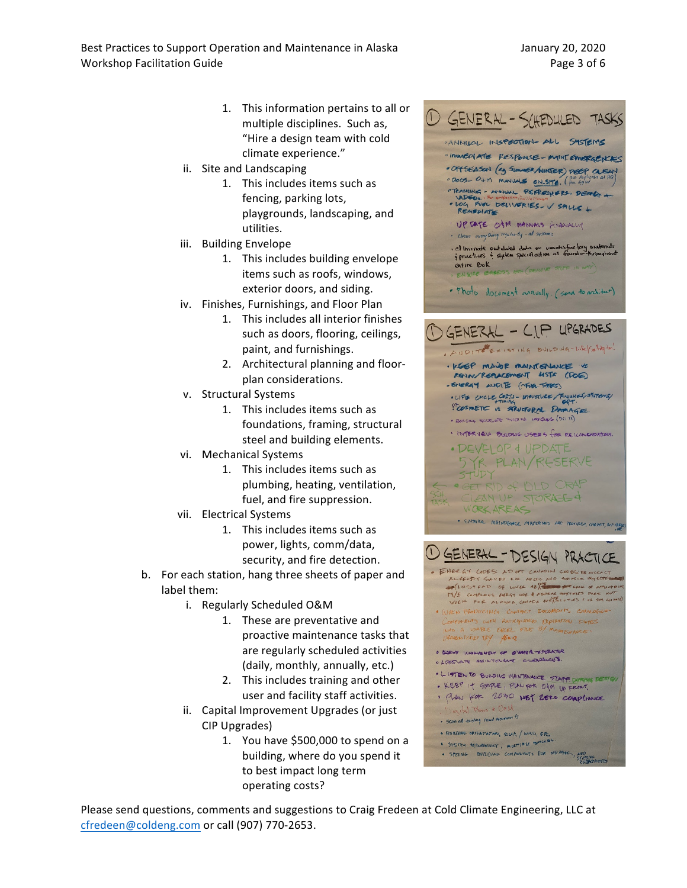- 1. This information pertains to all or multiple disciplines. Such as, "Hire a design team with cold climate experience."
- ii. Site and Landscaping
	- 1. This includes items such as fencing, parking lots, playgrounds, landscaping, and utilities.
- iii. Building Envelope
	- 1. This includes building envelope items such as roofs, windows, exterior doors, and siding.
- iv. Finishes, Furnishings, and Floor Plan
	- 1. This includes all interior finishes such as doors, flooring, ceilings, paint, and furnishings.
	- 2. Architectural planning and floorplan considerations.
- v. Structural Systems
	- 1. This includes items such as foundations, framing, structural steel and building elements.
- vi. Mechanical Systems
	- 1. This includes items such as plumbing, heating, ventilation, fuel, and fire suppression.
- vii. Electrical Systems
	- 1. This includes items such as power, lights, comm/data, security, and fire detection.
- b. For each station, hang three sheets of paper and label them:
	- i. Regularly Scheduled O&M
		- 1. These are preventative and proactive maintenance tasks that are regularly scheduled activities (daily, monthly, annually, etc.)
		- 2. This includes training and other user and facility staff activities.
	- ii. Capital Improvement Upgrades (or just CIP Upgrades)
		- 1. You have  $$500,000$  to spend on a building, where do you spend it to best impact long term operating costs?



- WHEN PRODUCTNG CONTACT DOCUMENTS CATALOGICA COMPONENTS WITH ANTICIPATED EXPIRATION DATES WHO A USABLE EXCEL FILE BY MAINTENANC
- **O SURWY I AVOING MEAT OF O'MAIN A-SPERATOR** O LDESCUATE MAINTONANE CLEARANCES
- 
- · LITENTO BULDING WHINTENANCE STAFF DUPING DESIGN . KEEP IT SMIPLE, PLAN FOR OfM UP FRONT.
- · PLAN for 2030 NET ZERO COMPLIANCE
- Digital Plans & OXM
- . Scan all existing reard documents
- · BUILDING ORIENTATION, SOLAR / WIND, ETC.
- \$ SYSTEM REQUISIENCY, MULTIPLE BALLARY
- · SPZING BULLDING COMPONENTS FOR SHIPPING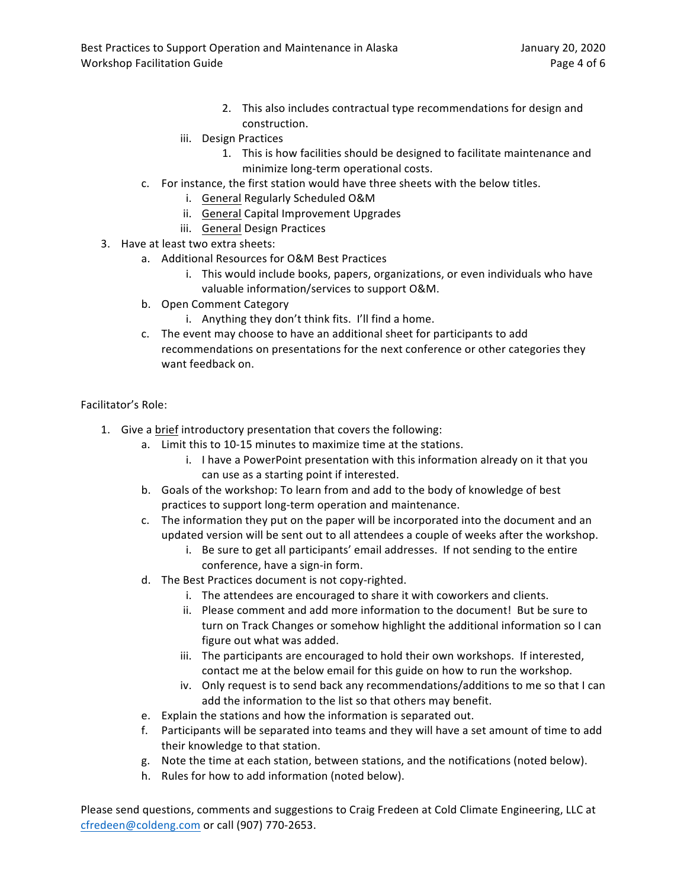- 2. This also includes contractual type recommendations for design and construction.
- iii. Design Practices
	- 1. This is how facilities should be designed to facilitate maintenance and minimize long-term operational costs.
- c. For instance, the first station would have three sheets with the below titles.
	- i. General Regularly Scheduled O&M
	- ii. General Capital Improvement Upgrades
	- iii. General Design Practices
- 3. Have at least two extra sheets:
	- a. Additional Resources for O&M Best Practices
		- i. This would include books, papers, organizations, or even individuals who have valuable information/services to support O&M.
	- b. Open Comment Category
		- i. Anything they don't think fits. I'll find a home.
	- c. The event may choose to have an additional sheet for participants to add recommendations on presentations for the next conference or other categories they want feedback on.

Facilitator's Role:

- 1. Give a brief introductory presentation that covers the following:
	- a. Limit this to 10-15 minutes to maximize time at the stations.
		- i. I have a PowerPoint presentation with this information already on it that you can use as a starting point if interested.
	- b. Goals of the workshop: To learn from and add to the body of knowledge of best practices to support long-term operation and maintenance.
	- c. The information they put on the paper will be incorporated into the document and an updated version will be sent out to all attendees a couple of weeks after the workshop.
		- i. Be sure to get all participants' email addresses. If not sending to the entire conference, have a sign-in form.
	- d. The Best Practices document is not copy-righted.
		- i. The attendees are encouraged to share it with coworkers and clients.
		- ii. Please comment and add more information to the document! But be sure to turn on Track Changes or somehow highlight the additional information so I can figure out what was added.
		- iii. The participants are encouraged to hold their own workshops. If interested, contact me at the below email for this guide on how to run the workshop.
		- iv. Only request is to send back any recommendations/additions to me so that I can add the information to the list so that others may benefit.
	- e. Explain the stations and how the information is separated out.
	- f. Participants will be separated into teams and they will have a set amount of time to add their knowledge to that station.
	- g. Note the time at each station, between stations, and the notifications (noted below).
	- h. Rules for how to add information (noted below).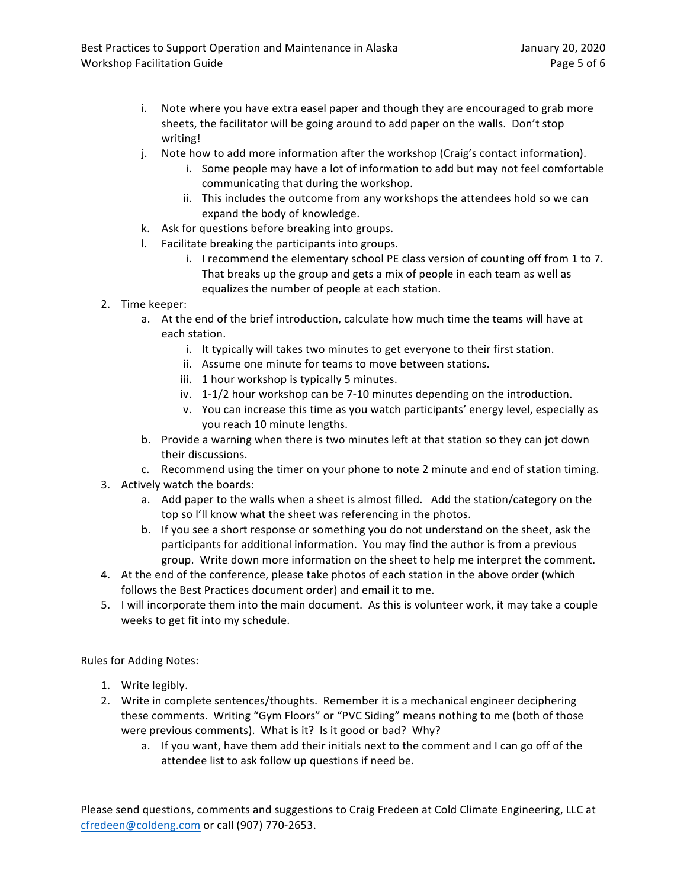- i. Note where you have extra easel paper and though they are encouraged to grab more sheets, the facilitator will be going around to add paper on the walls. Don't stop writing!
- j. Note how to add more information after the workshop (Craig's contact information).
	- i. Some people may have a lot of information to add but may not feel comfortable communicating that during the workshop.
	- ii. This includes the outcome from any workshops the attendees hold so we can expand the body of knowledge.
- k. Ask for questions before breaking into groups.
- l. Facilitate breaking the participants into groups.
	- i. I recommend the elementary school PE class version of counting off from 1 to 7. That breaks up the group and gets a mix of people in each team as well as equalizes the number of people at each station.
- 2. Time keeper:
	- a. At the end of the brief introduction, calculate how much time the teams will have at each station.
		- i. It typically will takes two minutes to get everyone to their first station.
		- ii. Assume one minute for teams to move between stations.
		- iii. 1 hour workshop is typically 5 minutes.
		- iv. 1-1/2 hour workshop can be 7-10 minutes depending on the introduction.
		- v. You can increase this time as you watch participants' energy level, especially as you reach 10 minute lengths.
	- b. Provide a warning when there is two minutes left at that station so they can jot down their discussions.
	- c. Recommend using the timer on your phone to note 2 minute and end of station timing.
- 3. Actively watch the boards:
	- a. Add paper to the walls when a sheet is almost filled. Add the station/category on the top so I'll know what the sheet was referencing in the photos.
	- b. If you see a short response or something you do not understand on the sheet, ask the participants for additional information. You may find the author is from a previous group. Write down more information on the sheet to help me interpret the comment.
- 4. At the end of the conference, please take photos of each station in the above order (which follows the Best Practices document order) and email it to me.
- 5. I will incorporate them into the main document. As this is volunteer work, it may take a couple weeks to get fit into my schedule.

Rules for Adding Notes:

- 1. Write legibly.
- 2. Write in complete sentences/thoughts. Remember it is a mechanical engineer deciphering these comments. Writing "Gym Floors" or "PVC Siding" means nothing to me (both of those were previous comments). What is it? Is it good or bad? Why?
	- a. If you want, have them add their initials next to the comment and I can go off of the attendee list to ask follow up questions if need be.